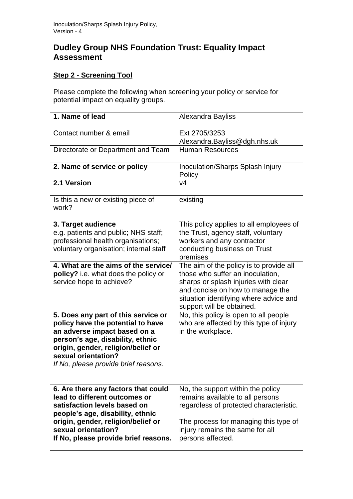# **Dudley Group NHS Foundation Trust: Equality Impact Assessment**

## **Step 2 - Screening Tool**

Please complete the following when screening your policy or service for potential impact on equality groups.

| 1. Name of lead                                                                                                                                                                                                                                   | Alexandra Bayliss                                                                                                                                                                                                              |
|---------------------------------------------------------------------------------------------------------------------------------------------------------------------------------------------------------------------------------------------------|--------------------------------------------------------------------------------------------------------------------------------------------------------------------------------------------------------------------------------|
| Contact number & email                                                                                                                                                                                                                            | Ext 2705/3253<br>Alexandra.Bayliss@dgh.nhs.uk                                                                                                                                                                                  |
| Directorate or Department and Team                                                                                                                                                                                                                | <b>Human Resources</b>                                                                                                                                                                                                         |
| 2. Name of service or policy                                                                                                                                                                                                                      | Inoculation/Sharps Splash Injury<br>Policy                                                                                                                                                                                     |
| 2.1 Version                                                                                                                                                                                                                                       | V <sub>4</sub>                                                                                                                                                                                                                 |
| Is this a new or existing piece of<br>work?                                                                                                                                                                                                       | existing                                                                                                                                                                                                                       |
| 3. Target audience<br>e.g. patients and public; NHS staff;                                                                                                                                                                                        | This policy applies to all employees of<br>the Trust, agency staff, voluntary                                                                                                                                                  |
| professional health organisations;<br>voluntary organisation; internal staff                                                                                                                                                                      | workers and any contractor<br>conducting business on Trust<br>premises                                                                                                                                                         |
| 4. What are the aims of the service/<br>policy? i.e. what does the policy or<br>service hope to achieve?                                                                                                                                          | The aim of the policy is to provide all<br>those who suffer an inoculation,<br>sharps or splash injuries with clear<br>and concise on how to manage the<br>situation identifying where advice and<br>support will be obtained. |
| 5. Does any part of this service or<br>policy have the potential to have<br>an adverse impact based on a<br>person's age, disability, ethnic<br>origin, gender, religion/belief or<br>sexual orientation?<br>If No, please provide brief reasons. | No, this policy is open to all people<br>who are affected by this type of injury<br>in the workplace.                                                                                                                          |
| 6. Are there any factors that could<br>lead to different outcomes or<br>satisfaction levels based on<br>people's age, disability, ethnic<br>origin, gender, religion/belief or<br>sexual orientation?<br>If No, please provide brief reasons.     | No, the support within the policy<br>remains available to all persons<br>regardless of protected characteristic.<br>The process for managing this type of<br>injury remains the same for all<br>persons affected.              |